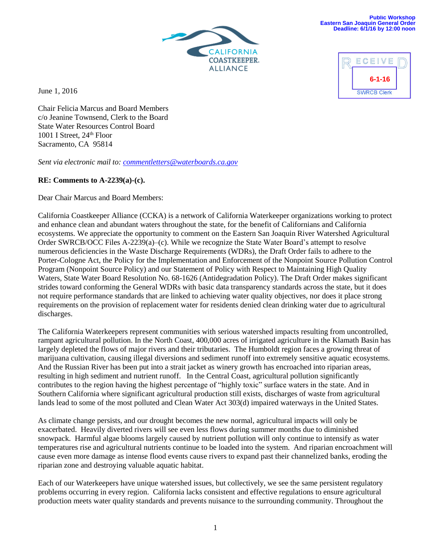

June 1, 2016



Chair Felicia Marcus and Board Members c/o Jeanine Townsend, Clerk to the Board State Water Resources Control Board 1001 I Street, 24<sup>th</sup> Floor Sacramento, CA 95814

*Sent via electronic mail to: [commentletters@waterboards.ca.gov](mailto:commentletters@waterboards.ca.gov)* 

# **RE: Comments to A-2239(a)-(c).**

Dear Chair Marcus and Board Members:

California Coastkeeper Alliance (CCKA) is a network of California Waterkeeper organizations working to protect and enhance clean and abundant waters throughout the state, for the benefit of Californians and California ecosystems. We appreciate the opportunity to comment on the Eastern San Joaquin River Watershed Agricultural Order SWRCB/OCC Files A-2239(a)–(c). While we recognize the State Water Board's attempt to resolve numerous deficiencies in the Waste Discharge Requirements (WDRs), the Draft Order fails to adhere to the Porter-Cologne Act, the Policy for the Implementation and Enforcement of the Nonpoint Source Pollution Control Program (Nonpoint Source Policy) and our Statement of Policy with Respect to Maintaining High Quality Waters, State Water Board Resolution No. 68-1626 (Antidegradation Policy). The Draft Order makes significant strides toward conforming the General WDRs with basic data transparency standards across the state, but it does not require performance standards that are linked to achieving water quality objectives, nor does it place strong requirements on the provision of replacement water for residents denied clean drinking water due to agricultural discharges.

The California Waterkeepers represent communities with serious watershed impacts resulting from uncontrolled, rampant agricultural pollution. In the North Coast, 400,000 acres of irrigated agriculture in the Klamath Basin has largely depleted the flows of major rivers and their tributaries. The Humboldt region faces a growing threat of marijuana cultivation, causing illegal diversions and sediment runoff into extremely sensitive aquatic ecosystems. And the Russian River has been put into a strait jacket as winery growth has encroached into riparian areas, resulting in high sediment and nutrient runoff. In the Central Coast, agricultural pollution significantly contributes to the region having the highest percentage of "highly toxic" surface waters in the state. And in Southern California where significant agricultural production still exists, discharges of waste from agricultural lands lead to some of the most polluted and Clean Water Act 303(d) impaired waterways in the United States.

As climate change persists, and our drought becomes the new normal, agricultural impacts will only be exacerbated. Heavily diverted rivers will see even less flows during summer months due to diminished snowpack. Harmful algae blooms largely caused by nutrient pollution will only continue to intensify as water temperatures rise and agricultural nutrients continue to be loaded into the system. And riparian encroachment will cause even more damage as intense flood events cause rivers to expand past their channelized banks, eroding the riparian zone and destroying valuable aquatic habitat.

Each of our Waterkeepers have unique watershed issues, but collectively, we see the same persistent regulatory problems occurring in every region. California lacks consistent and effective regulations to ensure agricultural production meets water quality standards and prevents nuisance to the surrounding community. Throughout the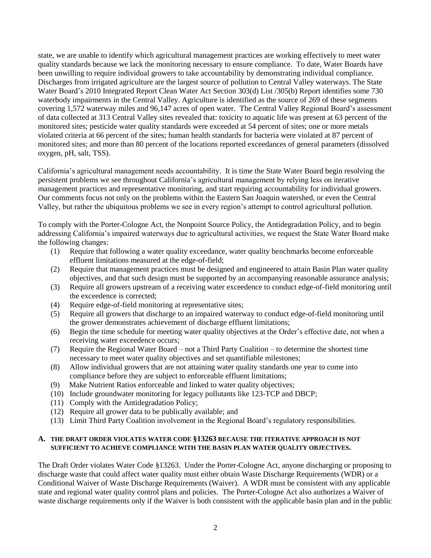state, we are unable to identify which agricultural management practices are working effectively to meet water quality standards because we lack the monitoring necessary to ensure compliance. To date, Water Boards have been unwilling to require individual growers to take accountability by demonstrating individual compliance. Discharges from irrigated agriculture are the largest source of pollution to Central Valley waterways. The State Water Board's 2010 Integrated Report Clean Water Act Section 303(d) List /305(b) Report identifies some 730 waterbody impairments in the Central Valley. Agriculture is identified as the source of 269 of these segments covering 1,572 waterway miles and 96,147 acres of open water. The Central Valley Regional Board's assessment of data collected at 313 Central Valley sites revealed that: toxicity to aquatic life was present at 63 percent of the monitored sites; pesticide water quality standards were exceeded at 54 percent of sites; one or more metals violated criteria at 66 percent of the sites; human health standards for bacteria were violated at 87 percent of monitored sites; and more than 80 percent of the locations reported exceedances of general parameters (dissolved oxygen, pH, salt, TSS).

California's agricultural management needs accountability. It is time the State Water Board begin resolving the persistent problems we see throughout California's agricultural management by relying less on iterative management practices and representative monitoring, and start requiring accountability for individual growers. Our comments focus not only on the problems within the Eastern San Joaquin watershed, or even the Central Valley, but rather the ubiquitous problems we see in every region's attempt to control agricultural pollution.

To comply with the Porter-Cologne Act, the Nonpoint Source Policy, the Antidegradation Policy, and to begin addressing California's impaired waterways due to agricultural activities, we request the State Water Board make the following changes:

- (1) Require that following a water quality exceedance, water quality benchmarks become enforceable effluent limitations measured at the edge-of-field;
- (2) Require that management practices must be designed and engineered to attain Basin Plan water quality objectives, and that such design must be supported by an accompanying reasonable assurance analysis;
- (3) Require all growers upstream of a receiving water exceedence to conduct edge-of-field monitoring until the exceedence is corrected;
- (4) Require edge-of-field monitoring at representative sites;
- (5) Require all growers that discharge to an impaired waterway to conduct edge-of-field monitoring until the grower demonstrates achievement of discharge effluent limitations;
- (6) Begin the time schedule for meeting water quality objectives at the Order's effective date, not when a receiving water exceedence occurs;
- (7) Require the Regional Water Board not a Third Party Coalition to determine the shortest time necessary to meet water quality objectives and set quantifiable milestones;
- (8) Allow individual growers that are not attaining water quality standards one year to come into compliance before they are subject to enforceable effluent limitations;
- (9) Make Nutrient Ratios enforceable and linked to water quality objectives;
- (10) Include groundwater monitoring for legacy pollutants like 123-TCP and DBCP;
- (11) Comply with the Antidegradation Policy;
- (12) Require all grower data to be publically available; and
- (13) Limit Third Party Coalition involvement in the Regional Board's regulatory responsibilities.

#### **A. THE DRAFT ORDER VIOLATES WATER CODE §13263 BECAUSE THE ITERATIVE APPROACH IS NOT SUFFICIENT TO ACHIEVE COMPLIANCE WITH THE BASIN PLAN WATER QUALITY OBJECTIVES.**

The Draft Order violates Water Code §13263. Under the Porter-Cologne Act, anyone discharging or proposing to discharge waste that could affect water quality must either obtain Waste Discharge Requirements (WDR) or a Conditional Waiver of Waste Discharge Requirements (Waiver). A WDR must be consistent with any applicable state and regional water quality control plans and policies. The Porter-Cologne Act also authorizes a Waiver of waste discharge requirements only if the Waiver is both consistent with the applicable basin plan and in the public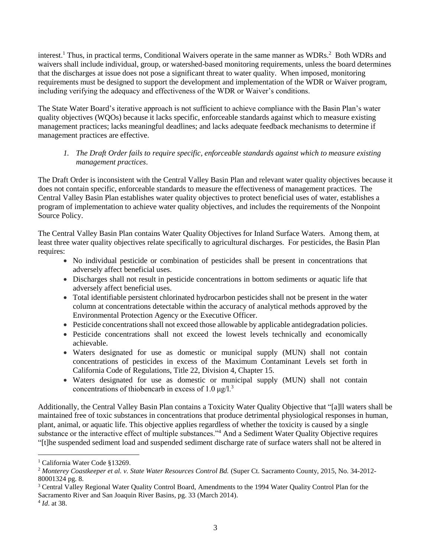interest.<sup>1</sup> Thus, in practical terms, Conditional Waivers operate in the same manner as WDRs.<sup>2</sup> Both WDRs and waivers shall include individual, group, or watershed-based monitoring requirements, unless the board determines that the discharges at issue does not pose a significant threat to water quality. When imposed, monitoring requirements must be designed to support the development and implementation of the WDR or Waiver program, including verifying the adequacy and effectiveness of the WDR or Waiver's conditions.

The State Water Board's iterative approach is not sufficient to achieve compliance with the Basin Plan's water quality objectives (WQOs) because it lacks specific, enforceable standards against which to measure existing management practices; lacks meaningful deadlines; and lacks adequate feedback mechanisms to determine if management practices are effective.

# *1. The Draft Order fails to require specific, enforceable standards against which to measure existing management practices*.

The Draft Order is inconsistent with the Central Valley Basin Plan and relevant water quality objectives because it does not contain specific, enforceable standards to measure the effectiveness of management practices. The Central Valley Basin Plan establishes water quality objectives to protect beneficial uses of water, establishes a program of implementation to achieve water quality objectives, and includes the requirements of the Nonpoint Source Policy.

The Central Valley Basin Plan contains Water Quality Objectives for Inland Surface Waters. Among them, at least three water quality objectives relate specifically to agricultural discharges. For pesticides, the Basin Plan requires:

- No individual pesticide or combination of pesticides shall be present in concentrations that adversely affect beneficial uses.
- Discharges shall not result in pesticide concentrations in bottom sediments or aquatic life that adversely affect beneficial uses.
- Total identifiable persistent chlorinated hydrocarbon pesticides shall not be present in the water column at concentrations detectable within the accuracy of analytical methods approved by the Environmental Protection Agency or the Executive Officer.
- Pesticide concentrations shall not exceed those allowable by applicable antidegradation policies.
- Pesticide concentrations shall not exceed the lowest levels technically and economically achievable.
- Waters designated for use as domestic or municipal supply (MUN) shall not contain concentrations of pesticides in excess of the Maximum Contaminant Levels set forth in California Code of Regulations, Title 22, Division 4, Chapter 15.
- Waters designated for use as domestic or municipal supply (MUN) shall not contain concentrations of thiobencarb in excess of 1.0 μg/l.<sup>3</sup>

Additionally, the Central Valley Basin Plan contains a Toxicity Water Quality Objective that "[a]ll waters shall be maintained free of toxic substances in concentrations that produce detrimental physiological responses in human, plant, animal, or aquatic life. This objective applies regardless of whether the toxicity is caused by a single substance or the interactive effect of multiple substances."<sup>4</sup> And a Sediment Water Quality Objective requires "[t]he suspended sediment load and suspended sediment discharge rate of surface waters shall not be altered in

l

<sup>&</sup>lt;sup>1</sup> California Water Code §13269.

<sup>2</sup> *Monterey Coastkeeper et al. v. State Water Resources Control Bd.* (Super Ct. Sacramento County, 2015, No. 34-2012- 80001324 pg. 8.

<sup>3</sup> Central Valley Regional Water Quality Control Board, Amendments to the 1994 Water Quality Control Plan for the Sacramento River and San Joaquin River Basins, pg. 33 (March 2014).

<sup>4</sup> *Id*. at 38.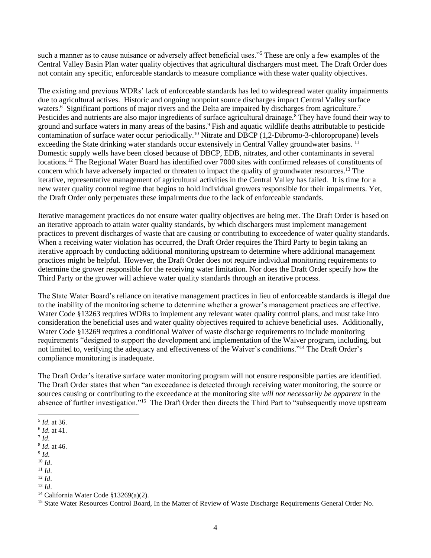such a manner as to cause nuisance or adversely affect beneficial uses."<sup>5</sup> These are only a few examples of the Central Valley Basin Plan water quality objectives that agricultural dischargers must meet. The Draft Order does not contain any specific, enforceable standards to measure compliance with these water quality objectives.

The existing and previous WDRs' lack of enforceable standards has led to widespread water quality impairments due to agricultural actives. Historic and ongoing nonpoint source discharges impact Central Valley surface waters.<sup>6</sup> Significant portions of major rivers and the Delta are impaired by discharges from agriculture.<sup>7</sup> Pesticides and nutrients are also major ingredients of surface agricultural drainage.<sup>8</sup> They have found their way to ground and surface waters in many areas of the basins.<sup>9</sup> Fish and aquatic wildlife deaths attributable to pesticide contamination of surface water occur periodically.<sup>10</sup> Nitrate and DBCP (1,2-Dibromo-3-chloropropane) levels exceeding the State drinking water standards occur extensively in Central Valley groundwater basins. <sup>11</sup> Domestic supply wells have been closed because of DBCP, EDB, nitrates, and other contaminants in several locations.<sup>12</sup> The Regional Water Board has identified over 7000 sites with confirmed releases of constituents of concern which have adversely impacted or threaten to impact the quality of groundwater resources.<sup>13</sup> The iterative, representative management of agricultural activities in the Central Valley has failed. It is time for a new water quality control regime that begins to hold individual growers responsible for their impairments. Yet, the Draft Order only perpetuates these impairments due to the lack of enforceable standards.

Iterative management practices do not ensure water quality objectives are being met. The Draft Order is based on an iterative approach to attain water quality standards, by which dischargers must implement management practices to prevent discharges of waste that are causing or contributing to exceedence of water quality standards. When a receiving water violation has occurred, the Draft Order requires the Third Party to begin taking an iterative approach by conducting additional monitoring upstream to determine where additional management practices might be helpful. However, the Draft Order does not require individual monitoring requirements to determine the grower responsible for the receiving water limitation. Nor does the Draft Order specify how the Third Party or the grower will achieve water quality standards through an iterative process.

The State Water Board's reliance on iterative management practices in lieu of enforceable standards is illegal due to the inability of the monitoring scheme to determine whether a grower's management practices are effective. Water Code §13263 requires WDRs to implement any relevant water quality control plans, and must take into consideration the beneficial uses and water quality objectives required to achieve beneficial uses. Additionally, Water Code §13269 requires a conditional Waiver of waste discharge requirements to include monitoring requirements "designed to support the development and implementation of the Waiver program, including, but not limited to, verifying the adequacy and effectiveness of the Waiver's conditions."<sup>14</sup> The Draft Order's compliance monitoring is inadequate.

The Draft Order's iterative surface water monitoring program will not ensure responsible parties are identified. The Draft Order states that when "an exceedance is detected through receiving water monitoring, the source or sources causing or contributing to the exceedance at the monitoring site *will not necessarily be apparent* in the absence of further investigation."<sup>15</sup> The Draft Order then directs the Third Part to "subsequently move upstream

- 9 *Id*. <sup>10</sup> *Id*.
- <sup>11</sup> *Id*.
- <sup>12</sup> *Id*.

 $\overline{\phantom{a}}$ 5 *Id*. at 36.

<sup>6</sup> *Id*. at 41.

<sup>7</sup> *Id*.

<sup>8</sup> *Id*. at 46.

 $13 \, Id.$ 

<sup>&</sup>lt;sup>14</sup> California Water Code §13269(a)(2).

<sup>&</sup>lt;sup>15</sup> State Water Resources Control Board, In the Matter of Review of Waste Discharge Requirements General Order No.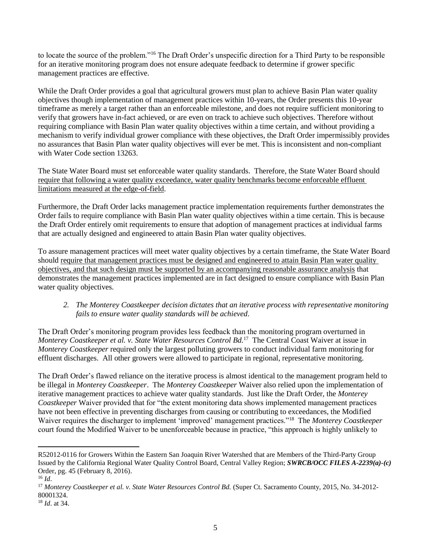to locate the source of the problem."<sup>16</sup> The Draft Order's unspecific direction for a Third Party to be responsible for an iterative monitoring program does not ensure adequate feedback to determine if grower specific management practices are effective.

While the Draft Order provides a goal that agricultural growers must plan to achieve Basin Plan water quality objectives though implementation of management practices within 10-years, the Order presents this 10-year timeframe as merely a target rather than an enforceable milestone, and does not require sufficient monitoring to verify that growers have in-fact achieved, or are even on track to achieve such objectives. Therefore without requiring compliance with Basin Plan water quality objectives within a time certain, and without providing a mechanism to verify individual grower compliance with these objectives, the Draft Order impermissibly provides no assurances that Basin Plan water quality objectives will ever be met. This is inconsistent and non-compliant with Water Code section 13263.

The State Water Board must set enforceable water quality standards. Therefore, the State Water Board should require that following a water quality exceedance, water quality benchmarks become enforceable effluent limitations measured at the edge-of-field.

Furthermore, the Draft Order lacks management practice implementation requirements further demonstrates the Order fails to require compliance with Basin Plan water quality objectives within a time certain. This is because the Draft Order entirely omit requirements to ensure that adoption of management practices at individual farms that are actually designed and engineered to attain Basin Plan water quality objectives.

To assure management practices will meet water quality objectives by a certain timeframe, the State Water Board should require that management practices must be designed and engineered to attain Basin Plan water quality objectives, and that such design must be supported by an accompanying reasonable assurance analysis that demonstrates the management practices implemented are in fact designed to ensure compliance with Basin Plan water quality objectives.

*2. The Monterey Coastkeeper decision dictates that an iterative process with representative monitoring fails to ensure water quality standards will be achieved*.

The Draft Order's monitoring program provides less feedback than the monitoring program overturned in *Monterey Coastkeeper et al. v. State Water Resources Control Bd.*<sup>17</sup> The Central Coast Waiver at issue in *Monterey Coastkeeper* required only the largest polluting growers to conduct individual farm monitoring for effluent discharges. All other growers were allowed to participate in regional, representative monitoring.

The Draft Order's flawed reliance on the iterative process is almost identical to the management program held to be illegal in *Monterey Coastkeeper*. The *Monterey Coastkeeper* Waiver also relied upon the implementation of iterative management practices to achieve water quality standards. Just like the Draft Order, the *Monterey Coastkeeper* Waiver provided that for "the extent monitoring data shows implemented management practices have not been effective in preventing discharges from causing or contributing to exceedances, the Modified Waiver requires the discharger to implement 'improved' management practices."<sup>18</sup> The *Monterey Coastkeeper* court found the Modified Waiver to be unenforceable because in practice, "this approach is highly unlikely to

R52012-0116 for Growers Within the Eastern San Joaquin River Watershed that are Members of the Third-Party Group Issued by the California Regional Water Quality Control Board, Central Valley Region; *SWRCB/OCC FILES A-2239(a)-(c)* Order, pg. 45 (February 8, 2016).

<sup>16</sup> *Id*.

<sup>&</sup>lt;sup>17</sup> Monterey Coastkeeper et al. v. State Water Resources Control Bd. (Super Ct. Sacramento County, 2015, No. 34-2012-80001324.

<sup>18</sup> *Id*. at 34.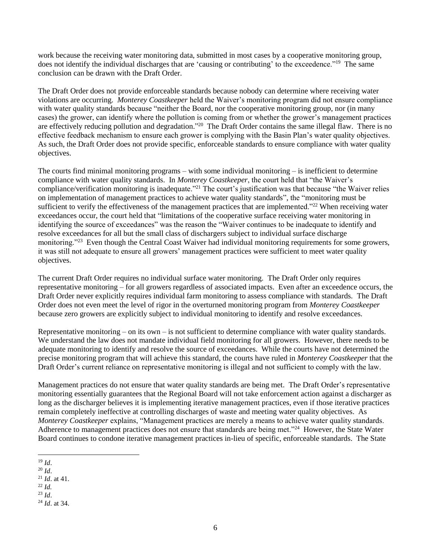work because the receiving water monitoring data, submitted in most cases by a cooperative monitoring group, does not identify the individual discharges that are 'causing or contributing' to the exceedence."<sup>19</sup> The same conclusion can be drawn with the Draft Order.

The Draft Order does not provide enforceable standards because nobody can determine where receiving water violations are occurring. *Monterey Coastkeeper* held the Waiver's monitoring program did not ensure compliance with water quality standards because "neither the Board, nor the cooperative monitoring group, nor (in many cases) the grower, can identify where the pollution is coming from or whether the grower's management practices are effectively reducing pollution and degradation."<sup>20</sup> The Draft Order contains the same illegal flaw. There is no effective feedback mechanism to ensure each grower is complying with the Basin Plan's water quality objectives. As such, the Draft Order does not provide specific, enforceable standards to ensure compliance with water quality objectives.

The courts find minimal monitoring programs – with some individual monitoring – is inefficient to determine compliance with water quality standards. In *Monterey Coastkeeper*, the court held that "the Waiver's compliance/verification monitoring is inadequate."<sup>21</sup> The court's justification was that because "the Waiver relies on implementation of management practices to achieve water quality standards", the "monitoring must be sufficient to verify the effectiveness of the management practices that are implemented."<sup>22</sup> When receiving water exceedances occur, the court held that "limitations of the cooperative surface receiving water monitoring in identifying the source of exceedances" was the reason the "Waiver continues to be inadequate to identify and resolve exceedances for all but the small class of dischargers subject to individual surface discharge monitoring."<sup>23</sup> Even though the Central Coast Waiver had individual monitoring requirements for some growers, it was still not adequate to ensure all growers' management practices were sufficient to meet water quality objectives.

The current Draft Order requires no individual surface water monitoring. The Draft Order only requires representative monitoring – for all growers regardless of associated impacts. Even after an exceedence occurs, the Draft Order never explicitly requires individual farm monitoring to assess compliance with standards. The Draft Order does not even meet the level of rigor in the overturned monitoring program from *Monterey Coastkeeper* because zero growers are explicitly subject to individual monitoring to identify and resolve exceedances.

Representative monitoring – on its own – is not sufficient to determine compliance with water quality standards. We understand the law does not mandate individual field monitoring for all growers. However, there needs to be adequate monitoring to identify and resolve the source of exceedances. While the courts have not determined the precise monitoring program that will achieve this standard, the courts have ruled in *Monterey Coastkeeper* that the Draft Order's current reliance on representative monitoring is illegal and not sufficient to comply with the law.

Management practices do not ensure that water quality standards are being met. The Draft Order's representative monitoring essentially guarantees that the Regional Board will not take enforcement action against a discharger as long as the discharger believes it is implementing iterative management practices, even if those iterative practices remain completely ineffective at controlling discharges of waste and meeting water quality objectives. As *Monterey Coastkeeper* explains, "Management practices are merely a means to achieve water quality standards. Adherence to management practices does not ensure that standards are being met."<sup>24</sup> However, the State Water Board continues to condone iterative management practices in-lieu of specific, enforceable standards. The State

l <sup>19</sup> *Id*.

<sup>20</sup> *Id*.

<sup>21</sup> *Id*. at 41.

<sup>22</sup> *Id.*

<sup>23</sup> *Id*.

<sup>24</sup> *Id*. at 34.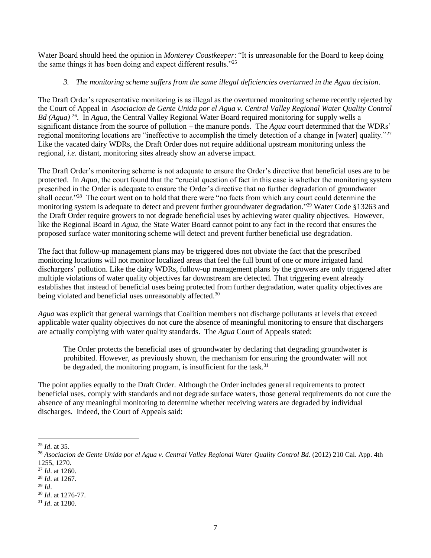Water Board should heed the opinion in *Monterey Coastkeeper*: "It is unreasonable for the Board to keep doing the same things it has been doing and expect different results."<sup>25</sup>

# *3. The monitoring scheme suffers from the same illegal deficiencies overturned in the Agua decision*.

The Draft Order's representative monitoring is as illegal as the overturned monitoring scheme recently rejected by the Court of Appeal in *Asociacion de Gente Unida por el Agua v. Central Valley Regional Water Quality Control Bd (Agua)* <sup>26</sup> . In *Agua*, the Central Valley Regional Water Board required monitoring for supply wells a significant distance from the source of pollution – the manure ponds. The *Agua* court determined that the WDRs' regional monitoring locations are "ineffective to accomplish the timely detection of a change in [water] quality."<sup>27</sup> Like the vacated dairy WDRs, the Draft Order does not require additional upstream monitoring unless the regional, *i.e.* distant, monitoring sites already show an adverse impact.

The Draft Order's monitoring scheme is not adequate to ensure the Order's directive that beneficial uses are to be protected. In *Aqua*, the court found that the "crucial question of fact in this case is whether the monitoring system prescribed in the Order is adequate to ensure the Order's directive that no further degradation of groundwater shall occur."<sup>28</sup> The court went on to hold that there were "no facts from which any court could determine the monitoring system is adequate to detect and prevent further groundwater degradation."<sup>29</sup> Water Code §13263 and the Draft Order require growers to not degrade beneficial uses by achieving water quality objectives. However, like the Regional Board in *Agua*, the State Water Board cannot point to any fact in the record that ensures the proposed surface water monitoring scheme will detect and prevent further beneficial use degradation.

The fact that follow-up management plans may be triggered does not obviate the fact that the prescribed monitoring locations will not monitor localized areas that feel the full brunt of one or more irrigated land dischargers' pollution. Like the dairy WDRs, follow-up management plans by the growers are only triggered after multiple violations of water quality objectives far downstream are detected. That triggering event already establishes that instead of beneficial uses being protected from further degradation, water quality objectives are being violated and beneficial uses unreasonably affected.<sup>30</sup>

*Agua* was explicit that general warnings that Coalition members not discharge pollutants at levels that exceed applicable water quality objectives do not cure the absence of meaningful monitoring to ensure that dischargers are actually complying with water quality standards. The *Agua* Court of Appeals stated:

The Order protects the beneficial uses of groundwater by declaring that degrading groundwater is prohibited. However, as previously shown, the mechanism for ensuring the groundwater will not be degraded, the monitoring program, is insufficient for the task.<sup>31</sup>

The point applies equally to the Draft Order. Although the Order includes general requirements to protect beneficial uses, comply with standards and not degrade surface waters, those general requirements do not cure the absence of any meaningful monitoring to determine whether receiving waters are degraded by individual discharges. Indeed, the Court of Appeals said:

 $\overline{a}$ <sup>25</sup> *Id*. at 35.

<sup>26</sup> *Asociacion de Gente Unida por el Agua v. Central Valley Regional Water Quality Control Bd.* (2012) 210 Cal. App. 4th 1255, 1270.

<sup>27</sup> *Id*. at 1260.

<sup>28</sup> *Id*. at 1267.

<sup>29</sup> *Id*.

<sup>30</sup> *Id*. at 1276-77.

<sup>31</sup> *Id*. at 1280.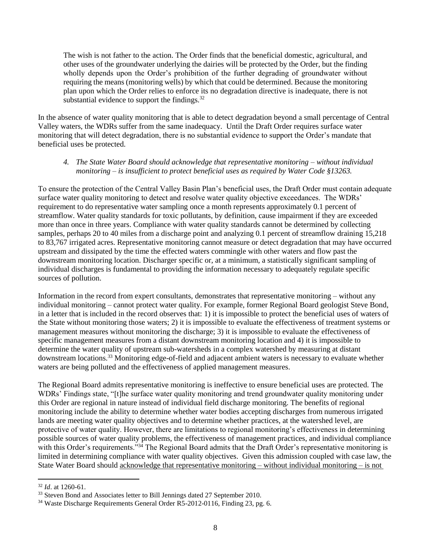The wish is not father to the action. The Order finds that the beneficial domestic, agricultural, and other uses of the groundwater underlying the dairies will be protected by the Order, but the finding wholly depends upon the Order's prohibition of the further degrading of groundwater without requiring the means (monitoring wells) by which that could be determined. Because the monitoring plan upon which the Order relies to enforce its no degradation directive is inadequate, there is not substantial evidence to support the findings.<sup>32</sup>

In the absence of water quality monitoring that is able to detect degradation beyond a small percentage of Central Valley waters, the WDRs suffer from the same inadequacy. Until the Draft Order requires surface water monitoring that will detect degradation, there is no substantial evidence to support the Order's mandate that beneficial uses be protected.

## *4. The State Water Board should acknowledge that representative monitoring – without individual monitoring – is insufficient to protect beneficial uses as required by Water Code §13263.*

To ensure the protection of the Central Valley Basin Plan's beneficial uses, the Draft Order must contain adequate surface water quality monitoring to detect and resolve water quality objective exceedances. The WDRs' requirement to do representative water sampling once a month represents approximately 0.1 percent of streamflow. Water quality standards for toxic pollutants, by definition, cause impairment if they are exceeded more than once in three years. Compliance with water quality standards cannot be determined by collecting samples, perhaps 20 to 40 miles from a discharge point and analyzing 0.1 percent of streamflow draining 15,218 to 83,767 irrigated acres. Representative monitoring cannot measure or detect degradation that may have occurred upstream and dissipated by the time the effected waters commingle with other waters and flow past the downstream monitoring location. Discharger specific or, at a minimum, a statistically significant sampling of individual discharges is fundamental to providing the information necessary to adequately regulate specific sources of pollution.

Information in the record from expert consultants, demonstrates that representative monitoring – without any individual monitoring – cannot protect water quality. For example, former Regional Board geologist Steve Bond, in a letter that is included in the record observes that: 1) it is impossible to protect the beneficial uses of waters of the State without monitoring those waters; 2) it is impossible to evaluate the effectiveness of treatment systems or management measures without monitoring the discharge; 3) it is impossible to evaluate the effectiveness of specific management measures from a distant downstream monitoring location and 4) it is impossible to determine the water quality of upstream sub-watersheds in a complex watershed by measuring at distant downstream locations.<sup>33</sup> Monitoring edge-of-field and adjacent ambient waters is necessary to evaluate whether waters are being polluted and the effectiveness of applied management measures.

The Regional Board admits representative monitoring is ineffective to ensure beneficial uses are protected. The WDRs' Findings state, "[t]he surface water quality monitoring and trend groundwater quality monitoring under this Order are regional in nature instead of individual field discharge monitoring. The benefits of regional monitoring include the ability to determine whether water bodies accepting discharges from numerous irrigated lands are meeting water quality objectives and to determine whether practices, at the watershed level, are protective of water quality. However, there are limitations to regional monitoring's effectiveness in determining possible sources of water quality problems, the effectiveness of management practices, and individual compliance with this Order's requirements."<sup>34</sup> The Regional Board admits that the Draft Order's representative monitoring is limited in determining compliance with water quality objectives. Given this admission coupled with case law, the State Water Board should acknowledge that representative monitoring – without individual monitoring – is not

<sup>32</sup> *Id*. at 1260-61.

<sup>&</sup>lt;sup>33</sup> Steven Bond and Associates letter to Bill Jennings dated 27 September 2010.

<sup>&</sup>lt;sup>34</sup> Waste Discharge Requirements General Order R5-2012-0116, Finding 23, pg. 6.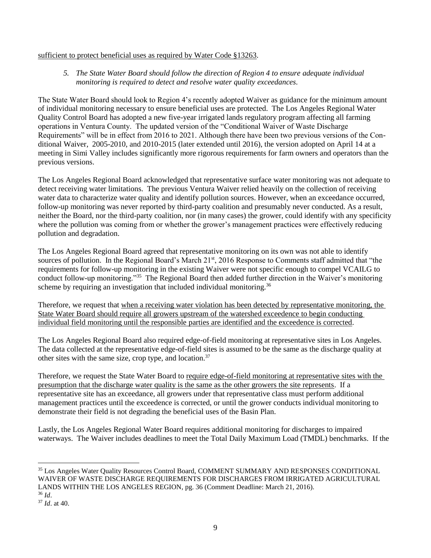#### sufficient to protect beneficial uses as required by Water Code §13263.

# 5. The State Water Board should follow the direction of Region 4 to ensure adequate *individual monitoring is required to detect and resolve water quality exceedances.*

The State Water Board should look to Region 4's recently adopted Waiver as guidance for the minimum amount of individual monitoring necessary to ensure beneficial uses are protected. The Los Angeles Regional Water Quality Control Board has adopted a new five-year irrigated lands regulatory program affecting all farming operations in Ventura County. The updated version of the "Conditional Waiver of Waste Discharge Requirements" will be in effect from 2016 to 2021. Although there have been two previous versions of the Conditional Waiver, 2005-2010, and 2010-2015 (later extended until 2016), the version adopted on April 14 at a meeting in Simi Valley includes significantly more rigorous requirements for farm owners and operators than the previous versions.

The Los Angeles Regional Board acknowledged that representative surface water monitoring was not adequate to detect receiving water limitations. The previous Ventura Waiver relied heavily on the collection of receiving water data to characterize water quality and identify pollution sources. However, when an exceedance occurred, follow-up monitoring was never reported by third-party coalition and presumably never conducted. As a result, neither the Board, nor the third-party coalition, nor (in many cases) the grower, could identify with any specificity where the pollution was coming from or whether the grower's management practices were effectively reducing pollution and degradation.

The Los Angeles Regional Board agreed that representative monitoring on its own was not able to identify sources of pollution. In the Regional Board's March 21<sup>st</sup>, 2016 Response to Comments staff admitted that "the requirements for follow-up monitoring in the existing Waiver were not specific enough to compel VCAILG to conduct follow-up monitoring."<sup>35</sup> The Regional Board then added further direction in the Waiver's monitoring scheme by requiring an investigation that included individual monitoring.<sup>36</sup>

Therefore, we request that when a receiving water violation has been detected by representative monitoring, the State Water Board should require all growers upstream of the watershed exceedence to begin conducting individual field monitoring until the responsible parties are identified and the exceedence is corrected.

The Los Angeles Regional Board also required edge-of-field monitoring at representative sites in Los Angeles. The data collected at the representative edge-of-field sites is assumed to be the same as the discharge quality at other sites with the same size, crop type, and location.<sup>37</sup>

Therefore, we request the State Water Board to require edge-of-field monitoring at representative sites with the presumption that the discharge water quality is the same as the other growers the site represents. If a representative site has an exceedance, all growers under that representative class must perform additional management practices until the exceedence is corrected, or until the grower conducts individual monitoring to demonstrate their field is not degrading the beneficial uses of the Basin Plan.

Lastly, the Los Angeles Regional Water Board requires additional monitoring for discharges to impaired waterways. The Waiver includes deadlines to meet the Total Daily Maximum Load (TMDL) benchmarks. If the

 $\overline{a}$ <sup>35</sup> Los Angeles Water Quality Resources Control Board, COMMENT SUMMARY AND RESPONSES CONDITIONAL WAIVER OF WASTE DISCHARGE REQUIREMENTS FOR DISCHARGES FROM IRRIGATED AGRICULTURAL LANDS WITHIN THE LOS ANGELES REGION, pg. 36 (Comment Deadline: March 21, 2016).

<sup>36</sup> *Id*.

<sup>37</sup> *Id*. at 40.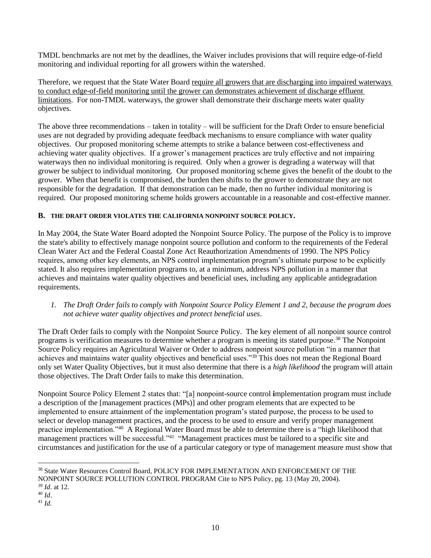TMDL benchmarks are not met by the deadlines, the Waiver includes provisions that will require edge-of-field monitoring and individual reporting for all growers within the watershed.

Therefore, we request that the State Water Board require all growers that are discharging into impaired waterways to conduct edge-of-field monitoring until the grower can demonstrates achievement of discharge effluent limitations. For non-TMDL waterways, the grower shall demonstrate their discharge meets water quality objectives.

The above three recommendations – taken in totality – will be sufficient for the Draft Order to ensure beneficial uses are not degraded by providing adequate feedback mechanisms to ensure compliance with water quality objectives. Our proposed monitoring scheme attempts to strike a balance between cost-effectiveness and achieving water quality objectives. If a grower's management practices are truly effective and not impairing waterways then no individual monitoring is required. Only when a grower is degrading a waterway will that grower be subject to individual monitoring. Our proposed monitoring scheme gives the benefit of the doubt to the grower. When that benefit is compromised, the burden then shifts to the grower to demonstrate they are not responsible for the degradation. If that demonstration can be made, then no further individual monitoring is required. Our proposed monitoring scheme holds growers accountable in a reasonable and cost-effective manner.

# **B. THE DRAFT ORDER VIOLATES THE CALIFORNIA NONPOINT SOURCE POLICY.**

In May 2004, the State Water Board adopted the Nonpoint Source Policy. The purpose of the Policy is to improve the state's ability to effectively manage nonpoint source pollution and conform to the requirements of the Federal Clean Water Act and the Federal Coastal Zone Act Reauthorization Amendments of 1990. The NPS Policy requires, among other key elements, an NPS control implementation program's ultimate purpose to be explicitly stated. It also requires implementation programs to, at a minimum, address NPS pollution in a manner that achieves and maintains water quality objectives and beneficial uses, including any applicable antidegradation requirements.

# *1. The Draft Order fails to comply with Nonpoint Source Policy Element 1 and 2, because the program does not achieve water quality objectives and protect beneficial uses*.

The Draft Order fails to comply with the Nonpoint Source Policy. The key element of all nonpoint source control programs is verification measures to determine whether a program is meeting its stated purpose.<sup>38</sup> The Nonpoint Source Policy requires an Agricultural Waiver or Order to address nonpoint source pollution "in a manner that achieves and maintains water quality objectives and beneficial uses."<sup>39</sup> This does not mean the Regional Board only set Water Quality Objectives, but it must also determine that there is a *high likelihood* the program will attain those objectives. The Draft Order fails to make this determination.

Nonpoint Source Policy Element 2 states that: "[a] nonpoint-source control **i**mplementation program must include a description of the [management practices (MPs)] and other program elements that are expected to be implemented to ensure attainment of the implementation program's stated purpose, the process to be used to select or develop management practices, and the process to be used to ensure and verify proper management practice implementation."<sup>40</sup> A Regional Water Board must be able to determine there is a "high likelihood that management practices will be successful."<sup>41</sup> "Management practices must be tailored to a specific site and circumstances and justification for the use of a particular category or type of management measure must show that

 $\overline{a}$ <sup>38</sup> State Water Resources Control Board, POLICY FOR IMPLEMENTATION AND ENFORCEMENT OF THE NONPOINT SOURCE POLLUTION CONTROL PROGRAM Cite to NPS Policy, pg. 13 (May 20, 2004).

<sup>39</sup> *Id*. at 12.

<sup>40</sup> *Id*.

<sup>41</sup> *Id.*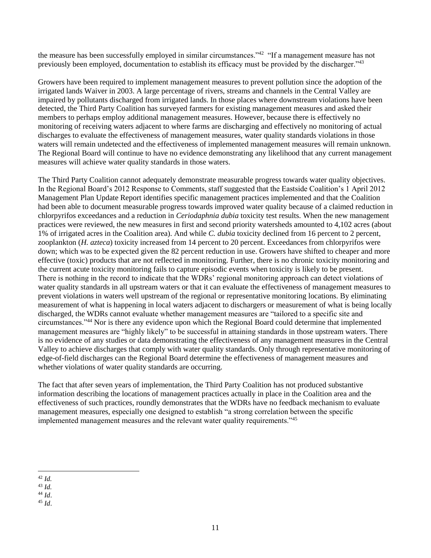the measure has been successfully employed in similar circumstances."<sup>42</sup> "If a management measure has not previously been employed, documentation to establish its efficacy must be provided by the discharger."<sup>43</sup>

Growers have been required to implement management measures to prevent pollution since the adoption of the irrigated lands Waiver in 2003. A large percentage of rivers, streams and channels in the Central Valley are impaired by pollutants discharged from irrigated lands. In those places where downstream violations have been detected, the Third Party Coalition has surveyed farmers for existing management measures and asked their members to perhaps employ additional management measures. However, because there is effectively no monitoring of receiving waters adjacent to where farms are discharging and effectively no monitoring of actual discharges to evaluate the effectiveness of management measures, water quality standards violations in those waters will remain undetected and the effectiveness of implemented management measures will remain unknown. The Regional Board will continue to have no evidence demonstrating any likelihood that any current management measures will achieve water quality standards in those waters.

The Third Party Coalition cannot adequately demonstrate measurable progress towards water quality objectives. In the Regional Board's 2012 Response to Comments, staff suggested that the Eastside Coalition's 1 April 2012 Management Plan Update Report identifies specific management practices implemented and that the Coalition had been able to document measurable progress towards improved water quality because of a claimed reduction in chlorpyrifos exceedances and a reduction in *Ceriodaphnia dubia* toxicity test results. When the new management practices were reviewed, the new measures in first and second priority watersheds amounted to 4,102 acres (about 1% of irrigated acres in the Coalition area). And while *C. dubia* toxicity declined from 16 percent to 2 percent, zooplankton (*H. azteca*) toxicity increased from 14 percent to 20 percent. Exceedances from chlorpyrifos were down; which was to be expected given the 82 percent reduction in use. Growers have shifted to cheaper and more effective (toxic) products that are not reflected in monitoring. Further, there is no chronic toxicity monitoring and the current acute toxicity monitoring fails to capture episodic events when toxicity is likely to be present. There is nothing in the record to indicate that the WDRs' regional monitoring approach can detect violations of water quality standards in all upstream waters or that it can evaluate the effectiveness of management measures to prevent violations in waters well upstream of the regional or representative monitoring locations. By eliminating measurement of what is happening in local waters adjacent to dischargers or measurement of what is being locally discharged, the WDRs cannot evaluate whether management measures are "tailored to a specific site and circumstances."<sup>44</sup> Nor is there any evidence upon which the Regional Board could determine that implemented management measures are "highly likely" to be successful in attaining standards in those upstream waters. There is no evidence of any studies or data demonstrating the effectiveness of any management measures in the Central Valley to achieve discharges that comply with water quality standards. Only through representative monitoring of edge-of-field discharges can the Regional Board determine the effectiveness of management measures and whether violations of water quality standards are occurring.

The fact that after seven years of implementation, the Third Party Coalition has not produced substantive information describing the locations of management practices actually in place in the Coalition area and the effectiveness of such practices, roundly demonstrates that the WDRs have no feedback mechanism to evaluate management measures, especially one designed to establish "a strong correlation between the specific implemented management measures and the relevant water quality requirements."<sup>45</sup>

 $\overline{\phantom{a}}$ <sup>42</sup> *Id.*

<sup>43</sup> *Id.*

<sup>44</sup> *Id*.

<sup>45</sup> *Id*.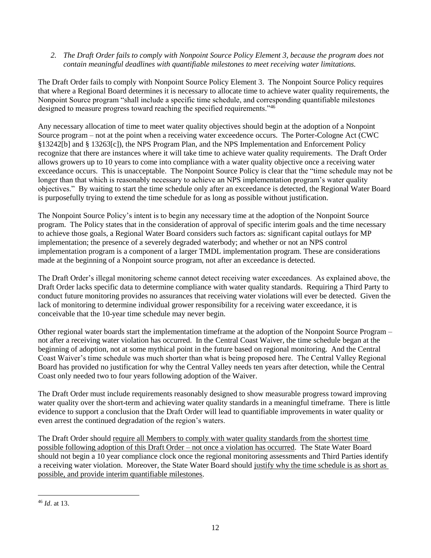*2. The Draft Order fails to comply with Nonpoint Source Policy Element 3, because the program does not contain meaningful deadlines with quantifiable milestones to meet receiving water limitations.*

The Draft Order fails to comply with Nonpoint Source Policy Element 3. The Nonpoint Source Policy requires that where a Regional Board determines it is necessary to allocate time to achieve water quality requirements, the Nonpoint Source program "shall include a specific time schedule, and corresponding quantifiable milestones designed to measure progress toward reaching the specified requirements."<sup>46</sup>

Any necessary allocation of time to meet water quality objectives should begin at the adoption of a Nonpoint Source program – not at the point when a receiving water exceedence occurs. The Porter-Cologne Act (CWC §13242[b] and § 13263[c]), the NPS Program Plan, and the NPS Implementation and Enforcement Policy recognize that there are instances where it will take time to achieve water quality requirements. The Draft Order allows growers up to 10 years to come into compliance with a water quality objective once a receiving water exceedance occurs. This is unacceptable. The Nonpoint Source Policy is clear that the "time schedule may not be longer than that which is reasonably necessary to achieve an NPS implementation program's water quality objectives." By waiting to start the time schedule only after an exceedance is detected, the Regional Water Board is purposefully trying to extend the time schedule for as long as possible without justification.

The Nonpoint Source Policy's intent is to begin any necessary time at the adoption of the Nonpoint Source program. The Policy states that in the consideration of approval of specific interim goals and the time necessary to achieve those goals, a Regional Water Board considers such factors as: significant capital outlays for MP implementation; the presence of a severely degraded waterbody; and whether or not an NPS control implementation program is a component of a larger TMDL implementation program. These are considerations made at the beginning of a Nonpoint source program, not after an exceedance is detected.

The Draft Order's illegal monitoring scheme cannot detect receiving water exceedances. As explained above, the Draft Order lacks specific data to determine compliance with water quality standards. Requiring a Third Party to conduct future monitoring provides no assurances that receiving water violations will ever be detected. Given the lack of monitoring to determine individual grower responsibility for a receiving water exceedance, it is conceivable that the 10-year time schedule may never begin.

Other regional water boards start the implementation timeframe at the adoption of the Nonpoint Source Program – not after a receiving water violation has occurred. In the Central Coast Waiver, the time schedule began at the beginning of adoption, not at some mythical point in the future based on regional monitoring. And the Central Coast Waiver's time schedule was much shorter than what is being proposed here. The Central Valley Regional Board has provided no justification for why the Central Valley needs ten years after detection, while the Central Coast only needed two to four years following adoption of the Waiver.

The Draft Order must include requirements reasonably designed to show measurable progress toward improving water quality over the short-term and achieving water quality standards in a meaningful timeframe. There is little evidence to support a conclusion that the Draft Order will lead to quantifiable improvements in water quality or even arrest the continued degradation of the region's waters.

The Draft Order should require all Members to comply with water quality standards from the shortest time possible following adoption of this Draft Order – not once a violation has occurred. The State Water Board should not begin a 10 year compliance clock once the regional monitoring assessments and Third Parties identify a receiving water violation. Moreover, the State Water Board should justify why the time schedule is as short as possible, and provide interim quantifiable milestones.

 $\overline{\phantom{a}}$ <sup>46</sup> *Id*. at 13.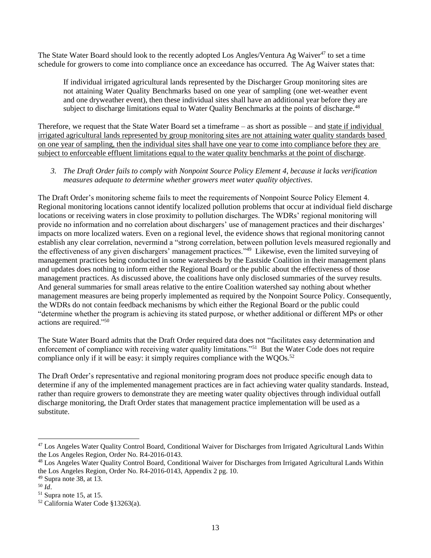The State Water Board should look to the recently adopted Los Angles/Ventura Ag Waiver<sup>47</sup> to set a time schedule for growers to come into compliance once an exceedance has occurred. The Ag Waiver states that:

If individual irrigated agricultural lands represented by the Discharger Group monitoring sites are not attaining Water Quality Benchmarks based on one year of sampling (one wet-weather event and one dryweather event), then these individual sites shall have an additional year before they are subject to discharge limitations equal to Water Quality Benchmarks at the points of discharge.<sup>48</sup>

Therefore, we request that the State Water Board set a timeframe – as short as possible – and state if individual irrigated agricultural lands represented by group monitoring sites are not attaining water quality standards based on one year of sampling, then the individual sites shall have one year to come into compliance before they are subject to enforceable effluent limitations equal to the water quality benchmarks at the point of discharge.

# *3. The Draft Order fails to comply with Nonpoint Source Policy Element 4, because it lacks verification measures adequate to determine whether growers meet water quality objectives*.

The Draft Order's monitoring scheme fails to meet the requirements of Nonpoint Source Policy Element 4. Regional monitoring locations cannot identify localized pollution problems that occur at individual field discharge locations or receiving waters in close proximity to pollution discharges. The WDRs' regional monitoring will provide no information and no correlation about dischargers' use of management practices and their discharges' impacts on more localized waters. Even on a regional level, the evidence shows that regional monitoring cannot establish any clear correlation, nevermind a "strong correlation, between pollution levels measured regionally and the effectiveness of any given dischargers' management practices." <sup>49</sup> Likewise, even the limited surveying of management practices being conducted in some watersheds by the Eastside Coalition in their management plans and updates does nothing to inform either the Regional Board or the public about the effectiveness of those management practices. As discussed above, the coalitions have only disclosed summaries of the survey results. And general summaries for small areas relative to the entire Coalition watershed say nothing about whether management measures are being properly implemented as required by the Nonpoint Source Policy. Consequently, the WDRs do not contain feedback mechanisms by which either the Regional Board or the public could "determine whether the program is achieving its stated purpose, or whether additional or different MPs or other actions are required."<sup>50</sup>

The State Water Board admits that the Draft Order required data does not "facilitates easy determination and enforcement of compliance with receiving water quality limitations."<sup>51</sup> But the Water Code does not require compliance only if it will be easy: it simply requires compliance with the  $WQOs.52$ 

The Draft Order's representative and regional monitoring program does not produce specific enough data to determine if any of the implemented management practices are in fact achieving water quality standards. Instead, rather than require growers to demonstrate they are meeting water quality objectives through individual outfall discharge monitoring, the Draft Order states that management practice implementation will be used as a substitute.

<sup>50</sup> *Id*.

 $\overline{a}$ <sup>47</sup> Los Angeles Water Quality Control Board, Conditional Waiver for Discharges from Irrigated Agricultural Lands Within the Los Angeles Region, Order No. R4-2016-0143.

<sup>48</sup> Los Angeles Water Quality Control Board, Conditional Waiver for Discharges from Irrigated Agricultural Lands Within the Los Angeles Region, Order No. R4-2016-0143, Appendix 2 pg. 10.

 $49$  Supra note 38, at 13.

 $51$  Supra note 15, at 15.

<sup>52</sup> California Water Code §13263(a).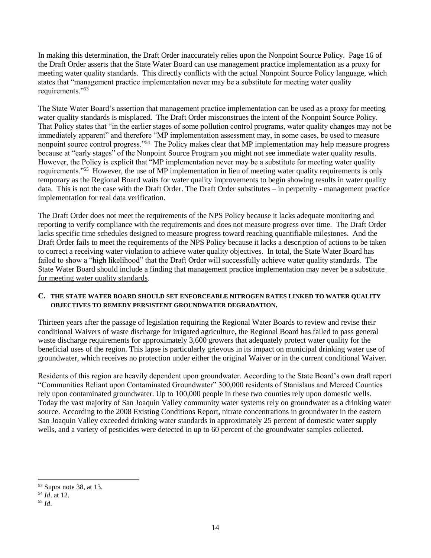In making this determination, the Draft Order inaccurately relies upon the Nonpoint Source Policy. Page 16 of the Draft Order asserts that the State Water Board can use management practice implementation as a proxy for meeting water quality standards. This directly conflicts with the actual Nonpoint Source Policy language, which states that "management practice implementation never may be a substitute for meeting water quality requirements."<sup>53</sup>

The State Water Board's assertion that management practice implementation can be used as a proxy for meeting water quality standards is misplaced. The Draft Order misconstrues the intent of the Nonpoint Source Policy. That Policy states that "in the earlier stages of some pollution control programs, water quality changes may not be immediately apparent" and therefore "MP implementation assessment may, in some cases, be used to measure nonpoint source control progress."<sup>54</sup> The Policy makes clear that MP implementation may help measure progress because at "early stages" of the Nonpoint Source Program you might not see immediate water quality results. However, the Policy is explicit that "MP implementation never may be a substitute for meeting water quality requirements."<sup>55</sup> However, the use of MP implementation in lieu of meeting water quality requirements is only temporary as the Regional Board waits for water quality improvements to begin showing results in water quality data. This is not the case with the Draft Order. The Draft Order substitutes – in perpetuity - management practice implementation for real data verification.

The Draft Order does not meet the requirements of the NPS Policy because it lacks adequate monitoring and reporting to verify compliance with the requirements and does not measure progress over time. The Draft Order lacks specific time schedules designed to measure progress toward reaching quantifiable milestones. And the Draft Order fails to meet the requirements of the NPS Policy because it lacks a description of actions to be taken to correct a receiving water violation to achieve water quality objectives. In total, the State Water Board has failed to show a "high likelihood" that the Draft Order will successfully achieve water quality standards. The State Water Board should include a finding that management practice implementation may never be a substitute for meeting water quality standards.

#### **C. THE STATE WATER BOARD SHOULD SET ENFORCEABLE NITROGEN RATES LINKED TO WATER QUALITY OBJECTIVES TO REMEDY PERSISTENT GROUNDWATER DEGRADATION.**

Thirteen years after the passage of legislation requiring the Regional Water Boards to review and revise their conditional Waivers of waste discharge for irrigated agriculture, the Regional Board has failed to pass general waste discharge requirements for approximately 3,600 growers that adequately protect water quality for the beneficial uses of the region. This lapse is particularly grievous in its impact on municipal drinking water use of groundwater, which receives no protection under either the original Waiver or in the current conditional Waiver.

Residents of this region are heavily dependent upon groundwater. According to the State Board's own draft report "Communities Reliant upon Contaminated Groundwater" 300,000 residents of Stanislaus and Merced Counties rely upon contaminated groundwater. Up to 100,000 people in these two counties rely upon domestic wells. Today the vast majority of San Joaquin Valley community water systems rely on groundwater as a drinking water source. According to the 2008 Existing Conditions Report, nitrate concentrations in groundwater in the eastern San Joaquin Valley exceeded drinking water standards in approximately 25 percent of domestic water supply wells, and a variety of pesticides were detected in up to 60 percent of the groundwater samples collected.

 $\overline{\phantom{a}}$ <sup>53</sup> Supra note 38, at 13.

<sup>54</sup> *Id*. at 12.

<sup>55</sup> *Id*.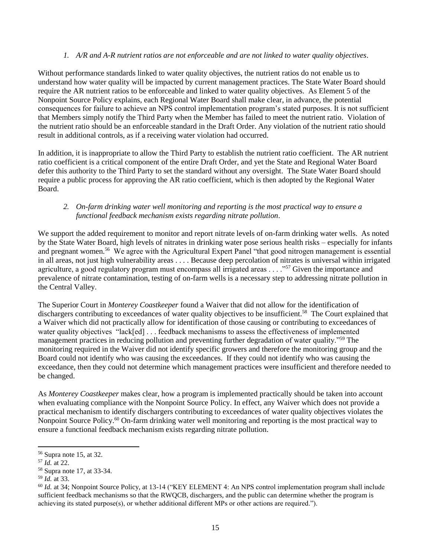#### *1. A/R and A-R nutrient ratios are not enforceable and are not linked to water quality objectives*.

Without performance standards linked to water quality objectives, the nutrient ratios do not enable us to understand how water quality will be impacted by current management practices. The State Water Board should require the AR nutrient ratios to be enforceable and linked to water quality objectives. As Element 5 of the Nonpoint Source Policy explains, each Regional Water Board shall make clear, in advance, the potential consequences for failure to achieve an NPS control implementation program's stated purposes. It is not sufficient that Members simply notify the Third Party when the Member has failed to meet the nutrient ratio. Violation of the nutrient ratio should be an enforceable standard in the Draft Order. Any violation of the nutrient ratio should result in additional controls, as if a receiving water violation had occurred.

In addition, it is inappropriate to allow the Third Party to establish the nutrient ratio coefficient. The AR nutrient ratio coefficient is a critical component of the entire Draft Order, and yet the State and Regional Water Board defer this authority to the Third Party to set the standard without any oversight. The State Water Board should require a public process for approving the AR ratio coefficient, which is then adopted by the Regional Water Board.

## *2. On-farm drinking water well monitoring and reporting is the most practical way to ensure a functional feedback mechanism exists regarding nitrate pollution*.

We support the added requirement to monitor and report nitrate levels of on-farm drinking water wells. As noted by the State Water Board, high levels of nitrates in drinking water pose serious health risks – especially for infants and pregnant women.<sup>56</sup> We agree with the Agricultural Expert Panel "that good nitrogen management is essential in all areas, not just high vulnerability areas . . . . Because deep percolation of nitrates is universal within irrigated agriculture, a good regulatory program must encompass all irrigated areas . . . ."<sup>57</sup> Given the importance and prevalence of nitrate contamination, testing of on-farm wells is a necessary step to addressing nitrate pollution in the Central Valley.

The Superior Court in *Monterey Coastkeeper* found a Waiver that did not allow for the identification of dischargers contributing to exceedances of water quality objectives to be insufficient.<sup>58</sup> The Court explained that a Waiver which did not practically allow for identification of those causing or contributing to exceedances of water quality objectives "lack[ed] . . . feedback mechanisms to assess the effectiveness of implemented management practices in reducing pollution and preventing further degradation of water quality."<sup>59</sup> The monitoring required in the Waiver did not identify specific growers and therefore the monitoring group and the Board could not identify who was causing the exceedances. If they could not identify who was causing the exceedance, then they could not determine which management practices were insufficient and therefore needed to be changed.

As *Monterey Coastkeeper* makes clear, how a program is implemented practically should be taken into account when evaluating compliance with the Nonpoint Source Policy. In effect, any Waiver which does not provide a practical mechanism to identify dischargers contributing to exceedances of water quality objectives violates the Nonpoint Source Policy.<sup>60</sup> On-farm drinking water well monitoring and reporting is the most practical way to ensure a functional feedback mechanism exists regarding nitrate pollution.

<sup>56</sup> Supra note 15, at 32.

<sup>57</sup> *Id.* at 22.

<sup>58</sup> Supra note 17, at 33-34.

<sup>59</sup> *Id.* at 33.

<sup>60</sup> *Id.* at 34; Nonpoint Source Policy, at 13-14 ("KEY ELEMENT 4: An NPS control implementation program shall include sufficient feedback mechanisms so that the RWQCB, dischargers, and the public can determine whether the program is achieving its stated purpose(s), or whether additional different MPs or other actions are required.").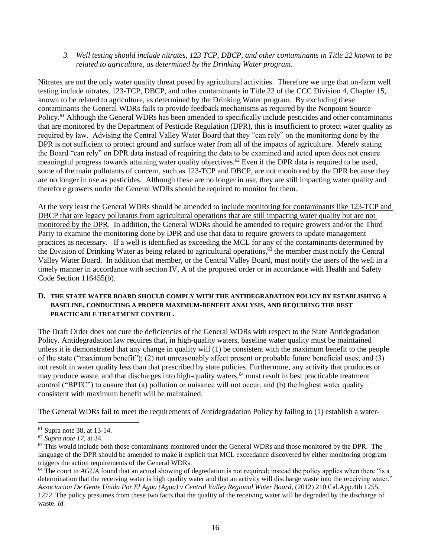#### *3. Well testing should include nitrates, 123 TCP, DBCP, and other contaminants in Title 22 known to be related to agriculture, as determined by the Drinking Water program.*

Nitrates are not the only water quality threat posed by agricultural activities. Therefore we urge that on-farm well testing include nitrates, 123-TCP, DBCP, and other contaminants in Title 22 of the CCC Division 4, Chapter 15, known to be related to agriculture, as determined by the Drinking Water program. By excluding these contaminants the General WDRs fails to provide feedback mechanisms as required by the Nonpoint Source Policy.<sup>61</sup> Although the General WDRs has been amended to specifically include pesticides and other contaminants that are monitored by the Department of Pesticide Regulation (DPR), this is insufficient to protect water quality as required by law. Advising the Central Valley Water Board that they "can rely" on the monitoring done by the DPR is not sufficient to protect ground and surface water from all of the impacts of agriculture. Merely stating the Board "can rely" on DPR data instead of requiring the data to be examined and acted upon does not ensure meaningful progress towards attaining water quality objectives.<sup>62</sup> Even if the DPR data is required to be used, some of the main pollutants of concern, such as 123-TCP and DBCP, are not monitored by the DPR because they are no longer in use as pesticides. Although these are no longer in use, they are still impacting water quality and therefore growers under the General WDRs should be required to monitor for them.

At the very least the General WDRs should be amended to include monitoring for contaminants like 123-TCP and DBCP that are legacy pollutants from agricultural operations that are still impacting water quality but are not monitored by the DPR. In addition, the General WDRs should be amended to require growers and/or the Third Party to examine the monitoring done by DPR and use that data to require growers to update management practices as necessary. If a well is identified as exceeding the MCL for any of the contaminants determined by the Division of Drinking Water as being related to agricultural operations,  $63$  the member must notify the Central Valley Water Board. In addition that member, or the Central Valley Board, must notify the users of the well in a timely manner in accordance with section IV, A of the proposed order or in accordance with Health and Safety Code Section 116455(b).

## **D. THE STATE WATER BOARD SHOULD COMPLY WITH THE ANTIDEGRADATION POLICY BY ESTABLISHING A BASELINE, CONDUCTING A PROPER MAXIMUM-BENEFIT ANALYSIS, AND REQUIRING THE BEST PRACTICABLE TREATMENT CONTROL.**

The Draft Order does not cure the deficiencies of the General WDRs with respect to the State Antidegradation Policy. Antidegradation law requires that, in high-quality waters, baseline water quality must be maintained unless it is demonstrated that any change in quality will (1) be consistent with the maximum benefit to the people of the state ("maximum benefit"); (2) not unreasonably affect present or probable future beneficial uses; and (3) not result in water quality less than that prescribed by state policies. Furthermore, any activity that produces or may produce waste, and that discharges into high-quality waters,<sup>64</sup> must result in best practicable treatment control ("BPTC") to ensure that (a) pollution or nuisance will not occur, and (b) the highest water quality consistent with maximum benefit will be maintained.

The General WDRs fail to meet the requirements of Antidegradation Policy by failing to (1) establish a water-

 $\overline{\phantom{a}}$ <sup>61</sup> Supra note 38, at 13-14.

<sup>62</sup> *Supra note 17*, at 34.

<sup>&</sup>lt;sup>63</sup> This would include both those contaminants monitored under the General WDRs and those monitored by the DPR. The language of the DPR should be amended to make it explicit that MCL exceedance discovered by either monitoring program triggers the action requirements of the General WDRs.

<sup>&</sup>lt;sup>64</sup> The court in *AGUA* found that an actual showing of degredation is not required; instead the policy applies when there "is a determination that the receiving water is high quality water and that an activity will discharge waste into the receiving water." *Associacion De Gente Unida Por El Agua (Agua) v Central Valley Regional Water Board,* (2012) 210 Cal.App.4th 1255, 1272. The policy presumes from these two facts that the quality of the receiving water will be degraded by the discharge of waste. *Id.*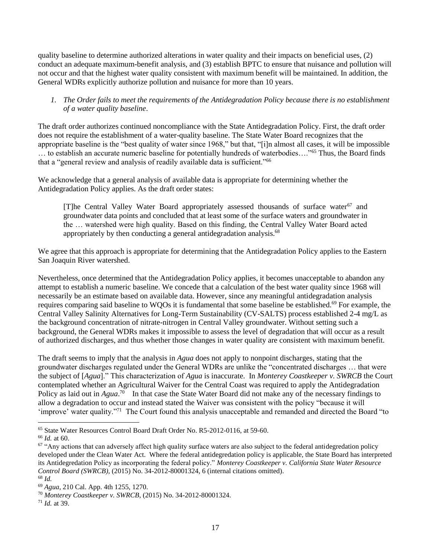quality baseline to determine authorized alterations in water quality and their impacts on beneficial uses, (2) conduct an adequate maximum-benefit analysis, and (3) establish BPTC to ensure that nuisance and pollution will not occur and that the highest water quality consistent with maximum benefit will be maintained. In addition, the General WDRs explicitly authorize pollution and nuisance for more than 10 years.

# *1. The Order fails to meet the requirements of the Antidegradation Policy because there is no establishment of a water quality baseline*.

The draft order authorizes continued noncompliance with the State Antidegradation Policy. First, the draft order does not require the establishment of a water-quality baseline. The State Water Board recognizes that the appropriate baseline is the "best quality of water since 1968," but that, "[i]n almost all cases, it will be impossible … to establish an accurate numeric baseline for potentially hundreds of waterbodies…."<sup>65</sup> Thus, the Board finds that a "general review and analysis of readily available data is sufficient."<sup>66</sup>

We acknowledge that a general analysis of available data is appropriate for determining whether the Antidegradation Policy applies. As the draft order states:

[T]he Central Valley Water Board appropriately assessed thousands of surface water<sup>67</sup> and groundwater data points and concluded that at least some of the surface waters and groundwater in the … watershed were high quality. Based on this finding, the Central Valley Water Board acted appropriately by then conducting a general antidegradation analysis.<sup>68</sup>

We agree that this approach is appropriate for determining that the Antidegradation Policy applies to the Eastern San Joaquin River watershed.

Nevertheless, once determined that the Antidegradation Policy applies, it becomes unacceptable to abandon any attempt to establish a numeric baseline. We concede that a calculation of the best water quality since 1968 will necessarily be an estimate based on available data. However, since any meaningful antidegradation analysis requires comparing said baseline to WQOs it is fundamental that some baseline be established.<sup>69</sup> For example, the Central Valley Salinity Alternatives for Long-Term Sustainability (CV-SALTS) process established 2-4 mg/L as the background concentration of nitrate-nitrogen in Central Valley groundwater. Without setting such a background, the General WDRs makes it impossible to assess the level of degradation that will occur as a result of authorized discharges, and thus whether those changes in water quality are consistent with maximum benefit.

The draft seems to imply that the analysis in *Agua* does not apply to nonpoint discharges, stating that the groundwater discharges regulated under the General WDRs are unlike the "concentrated discharges … that were the subject of [*Agua*]." This characterization of *Agua* is inaccurate. In *Monterey Coastkeeper v. SWRCB* the Court contemplated whether an Agricultural Waiver for the Central Coast was required to apply the Antidegradation Policy as laid out in *Agua*.<sup>70</sup> In that case the State Water Board did not make any of the necessary findings to allow a degradation to occur and instead stated the Waiver was consistent with the policy "because it will 'improve' water quality."<sup>71</sup> The Court found this analysis unacceptable and remanded and directed the Board "to

<sup>65</sup> State Water Resources Control Board Draft Order No. R5-2012-0116, at 59-60.

<sup>66</sup> *Id.* at 60.

 $67$  "Any actions that can adversely affect high quality surface waters are also subject to the federal antidegredation policy developed under the Clean Water Act. Where the federal antidegredation policy is applicable, the State Board has interpreted its Antidegredation Policy as incorporating the federal policy." *Monterey Coastkeeper v. California State Water Resource Control Board (SWRCB)*, (2015) No. 34-2012-80001324, 6 (internal citations omitted). <sup>68</sup> *Id.*

<sup>69</sup> *Agua*, 210 Cal. App. 4th 1255, 1270.

<sup>70</sup> *Monterey Coastkeeper v. SWRCB*, (2015) No. 34-2012-80001324.

<sup>71</sup> *Id.* at 39.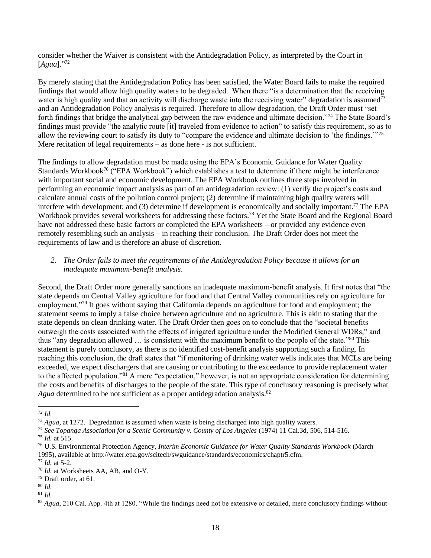consider whether the Waiver is consistent with the Antidegradation Policy, as interpreted by the Court in [*Agua*]."<sup>72</sup>

By merely stating that the Antidegradation Policy has been satisfied, the Water Board fails to make the required findings that would allow high quality waters to be degraded. When there "is a determination that the receiving water is high quality and that an activity will discharge waste into the receiving water" degradation is assumed<sup>73</sup> and an Antidegradation Policy analysis is required. Therefore to allow degradation, the Draft Order must "set forth findings that bridge the analytical gap between the raw evidence and ultimate decision."<sup>74</sup> The State Board's findings must provide "the analytic route [it] traveled from evidence to action" to satisfy this requirement, so as to allow the reviewing court to satisfy its duty to "compare the evidence and ultimate decision to 'the findings.'"<sup>75</sup> Mere recitation of legal requirements – as done here - is not sufficient.

The findings to allow degradation must be made using the EPA's Economic Guidance for Water Quality Standards Workbook<sup>76</sup> ("EPA Workbook") which establishes a test to determine if there might be interference with important social and economic development. The EPA Workbook outlines three steps involved in performing an economic impact analysis as part of an antidegradation review: (1) verify the project's costs and calculate annual costs of the pollution control project; (2) determine if maintaining high quality waters will interfere with development; and (3) determine if development is economically and socially important.<sup>77</sup> The EPA Workbook provides several worksheets for addressing these factors.<sup>78</sup> Yet the State Board and the Regional Board have not addressed these basic factors or completed the EPA worksheets – or provided any evidence even remotely resembling such an analysis – in reaching their conclusion. The Draft Order does not meet the requirements of law and is therefore an abuse of discretion.

# *2. The Order fails to meet the requirements of the Antidegradation Policy because it allows for an inadequate maximum-benefit analysis*.

Second, the Draft Order more generally sanctions an inadequate maximum-benefit analysis. It first notes that "the state depends on Central Valley agriculture for food and that Central Valley communities rely on agriculture for employment."<sup>79</sup> It goes without saying that California depends on agriculture for food and employment; the statement seems to imply a false choice between agriculture and no agriculture. This is akin to stating that the state depends on clean drinking water. The Draft Order then goes on to conclude that the "societal benefits outweigh the costs associated with the effects of irrigated agriculture under the Modified General WDRs," and thus "any degradation allowed … is consistent with the maximum benefit to the people of the state."<sup>80</sup> This statement is purely conclusory, as there is no identified cost-benefit analysis supporting such a finding. In reaching this conclusion, the draft states that "if monitoring of drinking water wells indicates that MCLs are being exceeded, we expect dischargers that are causing or contributing to the exceedance to provide replacement water to the affected population."<sup>81</sup> A mere "expectation," however, is not an appropriate consideration for determining the costs and benefits of discharges to the people of the state. This type of conclusory reasoning is precisely what Agua determined to be not sufficient as a proper antidegradation analysis.<sup>82</sup>

 $\overline{a}$ <sup>72</sup> *Id.*

<sup>73</sup> *Agua,* at 1272. Degredation is assumed when waste is being discharged into high quality waters.

*<sup>74</sup> See Topanga Association for a Scenic Community v. County of Los Angeles* (1974) 11 Cal.3d, 506, 514-516.

 $^{75}$  *Id.* at 515.

<sup>76</sup> U.S. Environmental Protection Agency, *Interim Economic Guidance for Water Quality Standards Workbook* (March 1995), available at http://water.epa.gov/scitech/swguidance/standards/economics/chaptr5.cfm.

<sup>77</sup> *Id.* at 5-2.

<sup>78</sup> *Id.* at Worksheets AA, AB, and O-Y.

<sup>79</sup> Draft order, at 61.

<sup>80</sup> *Id.*

<sup>81</sup> *Id.*

<sup>&</sup>lt;sup>82</sup> Agua, 210 Cal. App. 4th at 1280. "While the findings need not be extensive or detailed, mere conclusory findings without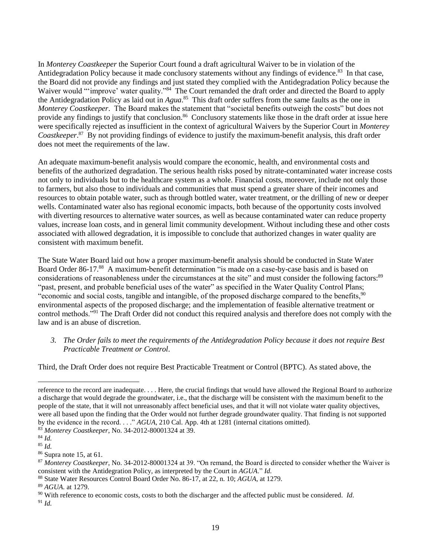In *Monterey Coastkeeper* the Superior Court found a draft agricultural Waiver to be in violation of the Antidegradation Policy because it made conclusory statements without any findings of evidence.<sup>83</sup> In that case, the Board did not provide any findings and just stated they complied with the Antidegradation Policy because the Waiver would "'improve' water quality."<sup>84</sup> The Court remanded the draft order and directed the Board to apply the Antidegradation Policy as laid out in *Agua*. 85 This draft order suffers from the same faults as the one in *Monterey Coastkeeper*. The Board makes the statement that "societal benefits outweigh the costs" but does not provide any findings to justify that conclusion.<sup>86</sup> Conclusory statements like those in the draft order at issue here were specifically rejected as insufficient in the context of agricultural Waivers by the Superior Court in *Monterey Coastkeeper*. 87 By not providing findings of evidence to justify the maximum-benefit analysis, this draft order does not meet the requirements of the law.

An adequate maximum-benefit analysis would compare the economic, health, and environmental costs and benefits of the authorized degradation. The serious health risks posed by nitrate-contaminated water increase costs not only to individuals but to the healthcare system as a whole. Financial costs, moreover, include not only those to farmers, but also those to individuals and communities that must spend a greater share of their incomes and resources to obtain potable water, such as through bottled water, water treatment, or the drilling of new or deeper wells. Contaminated water also has regional economic impacts, both because of the opportunity costs involved with diverting resources to alternative water sources, as well as because contaminated water can reduce property values, increase loan costs, and in general limit community development. Without including these and other costs associated with allowed degradation, it is impossible to conclude that authorized changes in water quality are consistent with maximum benefit.

The State Water Board laid out how a proper maximum-benefit analysis should be conducted in State Water Board Order 86-17.88 A maximum-benefit determination "is made on a case-by-case basis and is based on considerations of reasonableness under the circumstances at the site" and must consider the following factors:<sup>89</sup> "past, present, and probable beneficial uses of the water" as specified in the Water Quality Control Plans; "economic and social costs, tangible and intangible, of the proposed discharge compared to the benefits,<sup>90</sup> environmental aspects of the proposed discharge; and the implementation of feasible alternative treatment or control methods."<sup>91</sup> The Draft Order did not conduct this required analysis and therefore does not comply with the law and is an abuse of discretion.

*3. The Order fails to meet the requirements of the Antidegradation Policy because it does not require Best Practicable Treatment or Control*.

Third, the Draft Order does not require Best Practicable Treatment or Control (BPTC). As stated above, the

l

reference to the record are inadequate. . . . Here, the crucial findings that would have allowed the Regional Board to authorize a discharge that would degrade the groundwater, i.e., that the discharge will be consistent with the maximum benefit to the people of the state, that it will not unreasonably affect beneficial uses, and that it will not violate water quality objectives, were all based upon the finding that the Order would not further degrade groundwater quality. That finding is not supported by the evidence in the record. . . ." *AGUA*, 210 Cal. App. 4th at 1281 (internal citations omitted).

<sup>83</sup> *Monterey Coastkeeper*, No. 34-2012-80001324 at 39.

<sup>84</sup> *Id.*

<sup>85</sup> *Id.*

<sup>86</sup> Supra note 15, at 61.

<sup>87</sup> *Monterey Coastkeeper*, No. 34-2012-80001324 at 39. "On remand, the Board is directed to consider whether the Waiver is consistent with the Antidegration Policy, as interpreted by the Court in *AGUA*." *Id.*

<sup>88</sup> State Water Resources Control Board Order No. 86-17, at 22, n. 10; *AGUA*, at 1279.

<sup>89</sup> *AGUA.* at 1279.

<sup>90</sup> With reference to economic costs, costs to both the discharger and the affected public must be considered. *Id*.

<sup>91</sup> *Id.*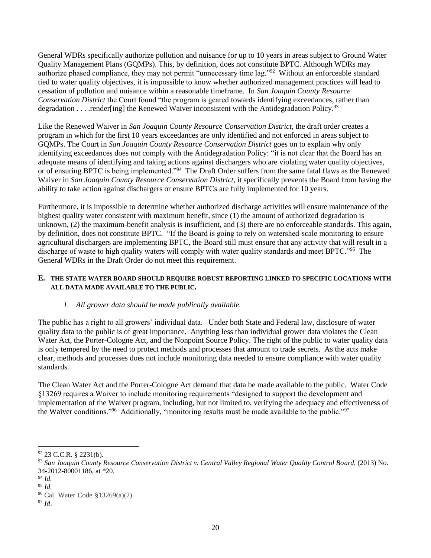General WDRs specifically authorize pollution and nuisance for up to 10 years in areas subject to Ground Water Quality Management Plans (GQMPs). This, by definition, does not constitute BPTC. Although WDRs may authorize phased compliance, they may not permit "unnecessary time lag."<sup>92</sup> Without an enforceable standard tied to water quality objectives, it is impossible to know whether authorized management practices will lead to cessation of pollution and nuisance within a reasonable timeframe. In *San Joaquin County Resource Conservation District* the Court found "the program is geared towards identifying exceedances, rather than degradation  $\dots$  render[ing] the Renewed Waiver inconsistent with the Antidegradation Policy.<sup>93</sup>

Like the Renewed Waiver in *San Joaquin County Resource Conservation District*, the draft order creates a program in which for the first 10 years exceedances are only identified and not enforced in areas subject to GQMPs. The Court in *San Joaquin County Resource Conservation District* goes on to explain why only identifying exceedances does not comply with the Antidegradation Policy: "it is not clear that the Board has an adequate means of identifying and taking actions against dischargers who are violating water quality objectives, or of ensuring BPTC is being implemented."<sup>94</sup> The Draft Order suffers from the same fatal flaws as the Renewed Waiver in *San Joaquin County Resource Conservation District*, it specifically prevents the Board from having the ability to take action against dischargers or ensure BPTCs are fully implemented for 10 years.

Furthermore, it is impossible to determine whether authorized discharge activities will ensure maintenance of the highest quality water consistent with maximum benefit, since (1) the amount of authorized degradation is unknown, (2) the maximum-benefit analysis is insufficient, and (3) there are no enforceable standards. This again, by definition, does not constitute BPTC. "If the Board is going to rely on watershed-scale monitoring to ensure agricultural dischargers are implementing BPTC, the Board still must ensure that any activity that will result in a discharge of waste to high quality waters will comply with water quality standards and meet BPTC."<sup>95</sup> The General WDRs in the Draft Order do not meet this requirement.

#### **E. THE STATE WATER BOARD SHOULD REQUIRE ROBUST REPORTING LINKED TO SPECIFIC LOCATIONS WITH ALL DATA MADE AVAILABLE TO THE PUBLIC.**

# *1. All grower data should be made publically available.*

The public has a right to all growers' individual data. Under both State and Federal law, disclosure of water quality data to the public is of great importance. Anything less than individual grower data violates the Clean Water Act, the Porter-Cologne Act, and the Nonpoint Source Policy. The right of the public to water quality data is only tempered by the need to protect methods and processes that amount to trade secrets. As the acts make clear, methods and processes does not include monitoring data needed to ensure compliance with water quality standards.

The Clean Water Act and the Porter-Cologne Act demand that data be made available to the public. Water Code §13269 requires a Waiver to include monitoring requirements "designed to support the development and implementation of the Waiver program, including, but not limited to, verifying the adequacy and effectiveness of the Waiver conditions."<sup>96</sup> Additionally, "monitoring results must be made available to the public."<sup>97</sup>

 $92$  23 C.C.R. § 2231(b).

<sup>&</sup>lt;sup>93</sup> San Joaquin County Resource Conservation District v. Central Valley Regional Water Quality Control Board, (2013) No. 34-2012-80001186, at \*20.

<sup>94</sup> *Id.*

<sup>95</sup> *Id.*

<sup>96</sup> Cal. Water Code §13269(a)(2).

 $^{97}$  *Id.*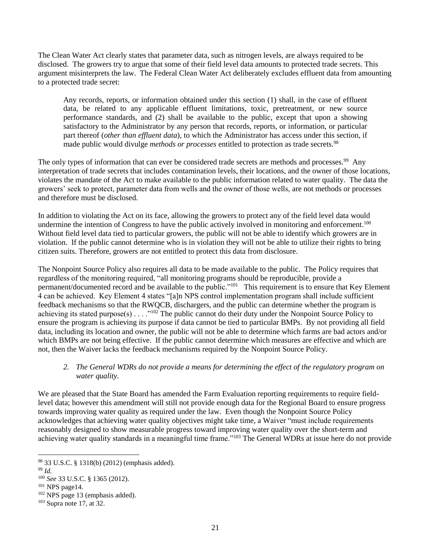The Clean Water Act clearly states that parameter data, such as nitrogen levels, are always required to be disclosed. The growers try to argue that some of their field level data amounts to protected trade secrets. This argument misinterprets the law. The Federal Clean Water Act deliberately excludes effluent data from amounting to a protected trade secret:

Any records, reports, or information obtained under this section (1) shall, in the case of effluent data, be related to any applicable effluent limitations, toxic, pretreatment, or new source performance standards, and (2) shall be available to the public, except that upon a showing satisfactory to the Administrator by any person that records, reports, or information, or particular part thereof (*other than effluent data*), to which the Administrator has access under this section, if made public would divulge *methods or processes* entitled to protection as trade secrets.<sup>98</sup>

The only types of information that can ever be considered trade secrets are methods and processes.<sup>99</sup> Any interpretation of trade secrets that includes contamination levels, their locations, and the owner of those locations, violates the mandate of the Act to make available to the public information related to water quality. The data the growers' seek to protect, parameter data from wells and the owner of those wells, are not methods or processes and therefore must be disclosed.

In addition to violating the Act on its face, allowing the growers to protect any of the field level data would undermine the intention of Congress to have the public actively involved in monitoring and enforcement.<sup>100</sup> Without field level data tied to particular growers, the public will not be able to identify which growers are in violation. If the public cannot determine who is in violation they will not be able to utilize their rights to bring citizen suits. Therefore, growers are not entitled to protect this data from disclosure.

The Nonpoint Source Policy also requires all data to be made available to the public. The Policy requires that regardless of the monitoring required, "all monitoring programs should be reproducible, provide a permanent/documented record and be available to the public."<sup>101</sup> This requirement is to ensure that Key Element 4 can be achieved. Key Element 4 states "[a]n NPS control implementation program shall include sufficient feedback mechanisms so that the RWQCB, dischargers, and the public can determine whether the program is achieving its stated purpose(s)  $\ldots$  ."<sup>102</sup> The public cannot do their duty under the Nonpoint Source Policy to ensure the program is achieving its purpose if data cannot be tied to particular BMPs. By not providing all field data, including its location and owner, the public will not be able to determine which farms are bad actors and/or which BMPs are not being effective. If the public cannot determine which measures are effective and which are not, then the Waiver lacks the feedback mechanisms required by the Nonpoint Source Policy.

# *2. The General WDRs do not provide a means for determining the effect of the regulatory program on water quality.*

We are pleased that the State Board has amended the Farm Evaluation reporting requirements to require fieldlevel data; however this amendment will still not provide enough data for the Regional Board to ensure progress towards improving water quality as required under the law. Even though the Nonpoint Source Policy acknowledges that achieving water quality objectives might take time, a Waiver "must include requirements reasonably designed to show measurable progress toward improving water quality over the short-term and achieving water quality standards in a meaningful time frame."<sup>103</sup> The General WDRs at issue here do not provide

l

<sup>98</sup> 33 U.S.C. § 1318(b) (2012) (emphasis added).

<sup>99</sup> *Id.*

<sup>100</sup> *See* 33 U.S.C. § 1365 (2012).

 $101$  NPS page 14.

<sup>102</sup> NPS page 13 (emphasis added).

 $103$  Supra note 17, at 32.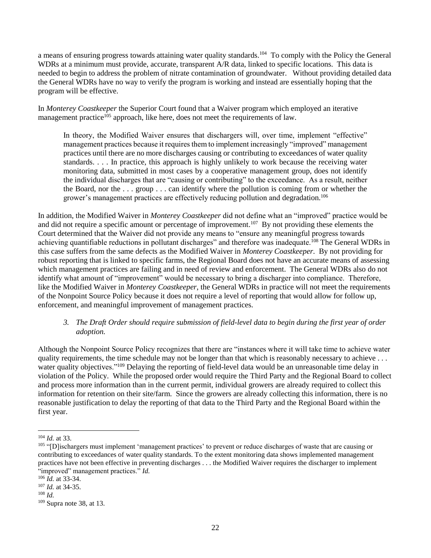a means of ensuring progress towards attaining water quality standards.<sup>104</sup> To comply with the Policy the General WDRs at a minimum must provide, accurate, transparent A/R data, linked to specific locations. This data is needed to begin to address the problem of nitrate contamination of groundwater. Without providing detailed data the General WDRs have no way to verify the program is working and instead are essentially hoping that the program will be effective.

In *Monterey Coastkeeper* the Superior Court found that a Waiver program which employed an iterative management practice<sup>105</sup> approach, like here, does not meet the requirements of law.

In theory, the Modified Waiver ensures that dischargers will, over time, implement "effective" management practices because it requires them to implement increasingly "improved" management practices until there are no more discharges causing or contributing to exceedances of water quality standards. . . . In practice, this approach is highly unlikely to work because the receiving water monitoring data, submitted in most cases by a cooperative management group, does not identify the individual discharges that are "causing or contributing" to the exceedance. As a result, neither the Board, nor the . . . group . . . can identify where the pollution is coming from or whether the grower's management practices are effectively reducing pollution and degradation. 106

In addition, the Modified Waiver in *Monterey Coastkeeper* did not define what an "improved" practice would be and did not require a specific amount or percentage of improvement.<sup>107</sup> By not providing these elements the Court determined that the Waiver did not provide any means to "ensure any meaningful progress towards achieving quantifiable reductions in pollutant discharges" and therefore was inadequate.<sup>108</sup> The General WDRs in this case suffers from the same defects as the Modified Waiver in *Monterey Coastkeeper*. By not providing for robust reporting that is linked to specific farms, the Regional Board does not have an accurate means of assessing which management practices are failing and in need of review and enforcement. The General WDRs also do not identify what amount of "improvement" would be necessary to bring a discharger into compliance. Therefore, like the Modified Waiver in *Monterey Coastkeeper*, the General WDRs in practice will not meet the requirements of the Nonpoint Source Policy because it does not require a level of reporting that would allow for follow up, enforcement, and meaningful improvement of management practices.

# *3. The Draft Order should require submission of field-level data to begin during the first year of order adoption.*

Although the Nonpoint Source Policy recognizes that there are "instances where it will take time to achieve water quality requirements, the time schedule may not be longer than that which is reasonably necessary to achieve ... water quality objectives."<sup>109</sup> Delaying the reporting of field-level data would be an unreasonable time delay in violation of the Policy. While the proposed order would require the Third Party and the Regional Board to collect and process more information than in the current permit, individual growers are already required to collect this information for retention on their site/farm. Since the growers are already collecting this information, there is no reasonable justification to delay the reporting of that data to the Third Party and the Regional Board within the first year.

<sup>104</sup> *Id.* at 33.

<sup>&</sup>lt;sup>105</sup> "[D] ischargers must implement 'management practices' to prevent or reduce discharges of waste that are causing or contributing to exceedances of water quality standards. To the extent monitoring data shows implemented management practices have not been effective in preventing discharges . . . the Modified Waiver requires the discharger to implement "improved" management practices." *Id.*

<sup>106</sup> *Id.* at 33-34.

<sup>107</sup> *Id.* at 34-35.

<sup>108</sup> *Id.*

<sup>109</sup> Supra note 38, at 13.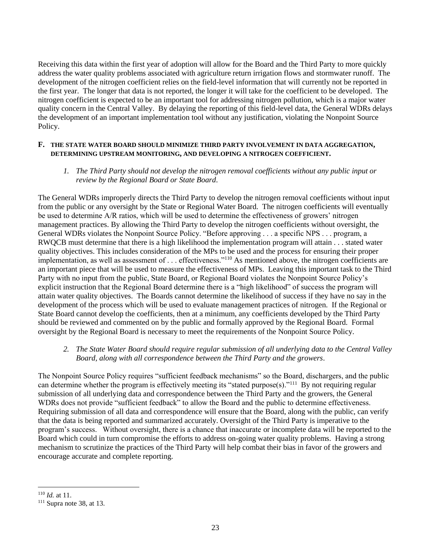Receiving this data within the first year of adoption will allow for the Board and the Third Party to more quickly address the water quality problems associated with agriculture return irrigation flows and stormwater runoff. The development of the nitrogen coefficient relies on the field-level information that will currently not be reported in the first year. The longer that data is not reported, the longer it will take for the coefficient to be developed. The nitrogen coefficient is expected to be an important tool for addressing nitrogen pollution, which is a major water quality concern in the Central Valley. By delaying the reporting of this field-level data, the General WDRs delays the development of an important implementation tool without any justification, violating the Nonpoint Source Policy.

#### **F. THE STATE WATER BOARD SHOULD MINIMIZE THIRD PARTY INVOLVEMENT IN DATA AGGREGATION, DETERMINING UPSTREAM MONITORING, AND DEVELOPING A NITROGEN COEFFICIENT.**

## *1. The Third Party should not develop the nitrogen removal coefficients without any public input or review by the Regional Board or State Board*.

The General WDRs improperly directs the Third Party to develop the nitrogen removal coefficients without input from the public or any oversight by the State or Regional Water Board. The nitrogen coefficients will eventually be used to determine A/R ratios, which will be used to determine the effectiveness of growers' nitrogen management practices. By allowing the Third Party to develop the nitrogen coefficients without oversight, the General WDRs violates the Nonpoint Source Policy. "Before approving . . . a specific NPS . . . program, a RWQCB must determine that there is a high likelihood the implementation program will attain . . . stated water quality objectives. This includes consideration of the MPs to be used and the process for ensuring their proper implementation, as well as assessment of . . . effectiveness."<sup>110</sup> As mentioned above, the nitrogen coefficients are an important piece that will be used to measure the effectiveness of MPs. Leaving this important task to the Third Party with no input from the public, State Board, or Regional Board violates the Nonpoint Source Policy's explicit instruction that the Regional Board determine there is a "high likelihood" of success the program will attain water quality objectives. The Boards cannot determine the likelihood of success if they have no say in the development of the process which will be used to evaluate management practices of nitrogen. If the Regional or State Board cannot develop the coefficients, then at a minimum, any coefficients developed by the Third Party should be reviewed and commented on by the public and formally approved by the Regional Board. Formal oversight by the Regional Board is necessary to meet the requirements of the Nonpoint Source Policy.

# *2. The State Water Board should require regular submission of all underlying data to the Central Valley Board, along with all correspondence between the Third Party and the growers*.

The Nonpoint Source Policy requires "sufficient feedback mechanisms" so the Board, dischargers, and the public can determine whether the program is effectively meeting its "stated purpose(s)."<sup>111</sup> By not requiring regular submission of all underlying data and correspondence between the Third Party and the growers, the General WDRs does not provide "sufficient feedback" to allow the Board and the public to determine effectiveness. Requiring submission of all data and correspondence will ensure that the Board, along with the public, can verify that the data is being reported and summarized accurately. Oversight of the Third Party is imperative to the program's success. Without oversight, there is a chance that inaccurate or incomplete data will be reported to the Board which could in turn compromise the efforts to address on-going water quality problems. Having a strong mechanism to scrutinize the practices of the Third Party will help combat their bias in favor of the growers and encourage accurate and complete reporting.

<sup>110</sup> *Id.* at 11.

 $111$  Supra note 38, at 13.